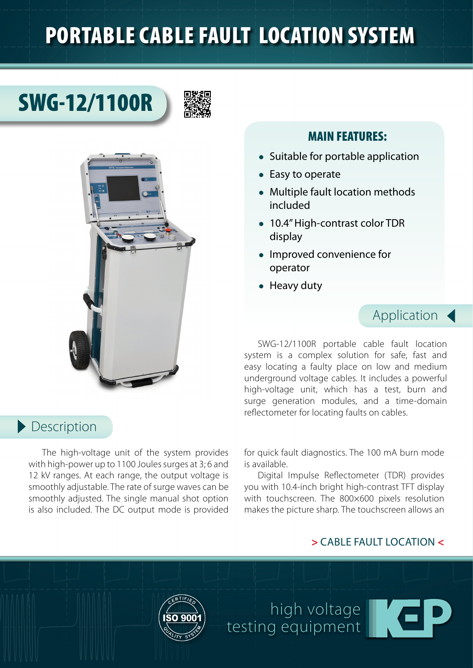## PORTABLE CABLE FAULT LOCATION SYSTEM

# SWG-12/1100R





#### MAIN FEATURES:

- Suitable for portable application
- Easy to operate
- Multiple fault location methods included
- 10.4" High-contrast color TDR display
- Improved convenience for operator
- Heavy duty

### Application

SWG-12/1100R portable cable fault location system is a complex solution for safe, fast and easy locating a faulty place on low and medium underground voltage cables. It includes a powerful high-voltage unit, which has a test, burn and surge generation modules, and a time-domain reflectometer for locating faults on cables.

#### Description

The high-voltage unit of the system provides with high-power up to 1100 Joules surges at 3; 6 and 12 kV ranges. At each range, the output voltage is smoothly adjustable. The rate of surge waves can be smoothly adjusted. The single manual shot option is also included. The DC output mode is provided for quick fault diagnostics. The 100 mA burn mode is available.

Digital Impulse Reflectometer (TDR) provides you with 10.4-inch bright high-contrast TFT display with touchscreen. The 800×600 pixels resolution makes the picture sharp. The touchscreen allows an

#### **>** CABLE FAULT LOCATION **<**